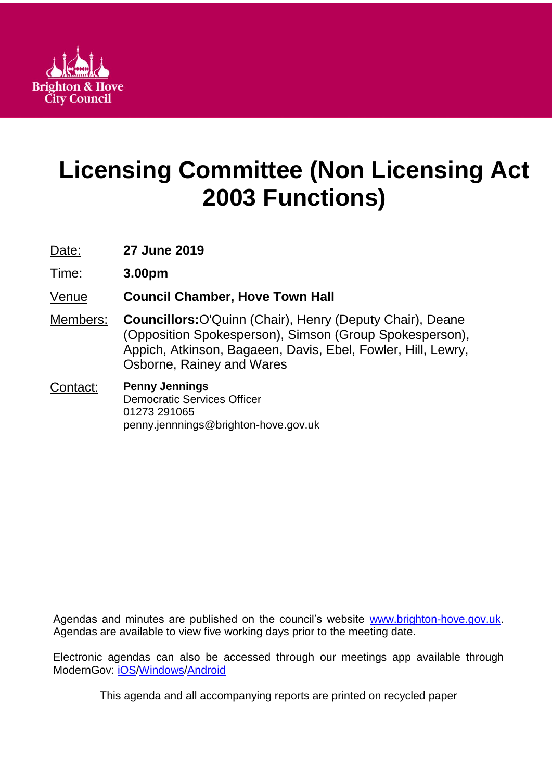

# **Licensing Committee (Non Licensing Act 2003 Functions)**

Date: **27 June 2019**

Time: **3.00pm**

Venue **Council Chamber, Hove Town Hall**

Members: **Councillors:**O'Quinn (Chair), Henry (Deputy Chair), Deane (Opposition Spokesperson), Simson (Group Spokesperson), Appich, Atkinson, Bagaeen, Davis, Ebel, Fowler, Hill, Lewry, Osborne, Rainey and Wares

#### Contact: **Penny Jennings** Democratic Services Officer 01273 291065 penny.jennnings@brighton-hove.gov.uk

Agendas and minutes are published on the council's website [www.brighton-hove.gov.uk.](http://www.brighton-hove.gov.uk/) Agendas are available to view five working days prior to the meeting date.

Electronic agendas can also be accessed through our meetings app available through ModernGov: [iOS](https://play.google.com/store/apps/details?id=uk.co.moderngov.modgov&hl=en_GB)[/Windows/](https://www.microsoft.com/en-gb/p/modgov/9nblggh0c7s7#activetab=pivot:overviewtab)[Android](https://play.google.com/store/apps/details?id=uk.co.moderngov.modgov&hl=en_GB)

This agenda and all accompanying reports are printed on recycled paper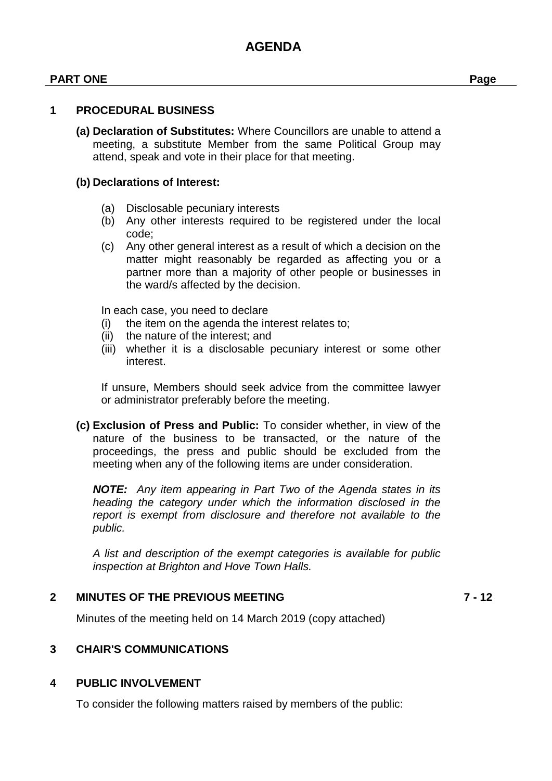#### **PART ONE Page**

#### **1 PROCEDURAL BUSINESS**

**(a) Declaration of Substitutes:** Where Councillors are unable to attend a meeting, a substitute Member from the same Political Group may attend, speak and vote in their place for that meeting.

#### **(b) Declarations of Interest:**

- (a) Disclosable pecuniary interests
- (b) Any other interests required to be registered under the local code;
- (c) Any other general interest as a result of which a decision on the matter might reasonably be regarded as affecting you or a partner more than a majority of other people or businesses in the ward/s affected by the decision.

In each case, you need to declare

- (i) the item on the agenda the interest relates to;
- (ii) the nature of the interest; and
- (iii) whether it is a disclosable pecuniary interest or some other interest.

If unsure, Members should seek advice from the committee lawyer or administrator preferably before the meeting.

**(c) Exclusion of Press and Public:** To consider whether, in view of the nature of the business to be transacted, or the nature of the proceedings, the press and public should be excluded from the meeting when any of the following items are under consideration.

*NOTE: Any item appearing in Part Two of the Agenda states in its heading the category under which the information disclosed in the report is exempt from disclosure and therefore not available to the public.*

*A list and description of the exempt categories is available for public inspection at Brighton and Hove Town Halls.*

### **2 MINUTES OF THE PREVIOUS MEETING 7 - 12**

Minutes of the meeting held on 14 March 2019 (copy attached)

#### **3 CHAIR'S COMMUNICATIONS**

#### **4 PUBLIC INVOLVEMENT**

To consider the following matters raised by members of the public: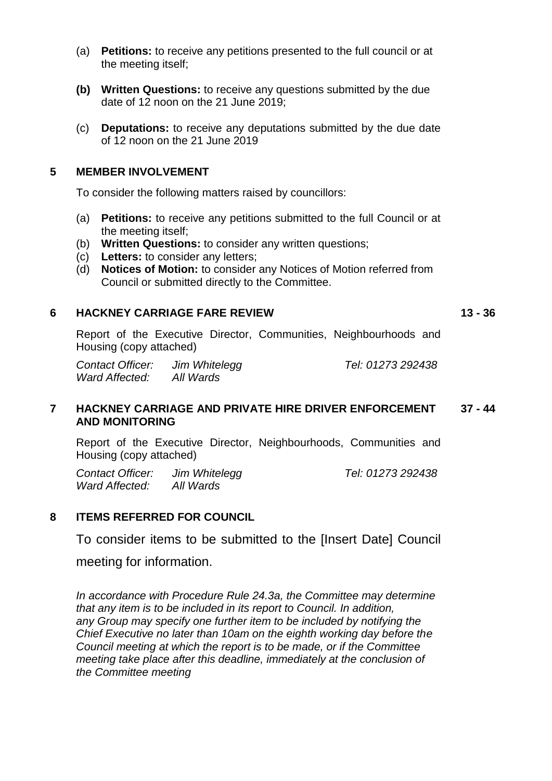- (a) **Petitions:** to receive any petitions presented to the full council or at the meeting itself;
- **(b) Written Questions:** to receive any questions submitted by the due date of 12 noon on the 21 June 2019;
- (c) **Deputations:** to receive any deputations submitted by the due date of 12 noon on the 21 June 2019

### **5 MEMBER INVOLVEMENT**

To consider the following matters raised by councillors:

- (a) **Petitions:** to receive any petitions submitted to the full Council or at the meeting itself;
- (b) **Written Questions:** to consider any written questions;
- (c) **Letters:** to consider any letters;
- (d) **Notices of Motion:** to consider any Notices of Motion referred from Council or submitted directly to the Committee.

#### **6 HACKNEY CARRIAGE FARE REVIEW 13 - 36**

Report of the Executive Director, Communities, Neighbourhoods and Housing (copy attached)

*Contact Officer: Jim Whitelegg Tel: 01273 292438 Ward Affected: All Wards*

#### **7 HACKNEY CARRIAGE AND PRIVATE HIRE DRIVER ENFORCEMENT AND MONITORING 37 - 44**

Report of the Executive Director, Neighbourhoods, Communities and Housing (copy attached)

*Contact Officer: Jim Whitelegg Tel: 01273 292438 Ward Affected: All Wards*

# **8 ITEMS REFERRED FOR COUNCIL**

To consider items to be submitted to the [Insert Date] Council

meeting for information.

*In accordance with Procedure Rule 24.3a, the Committee may determine that any item is to be included in its report to Council. In addition, any Group may specify one further item to be included by notifying the Chief Executive no later than 10am on the eighth working day before the Council meeting at which the report is to be made, or if the Committee meeting take place after this deadline, immediately at the conclusion of the Committee meeting*